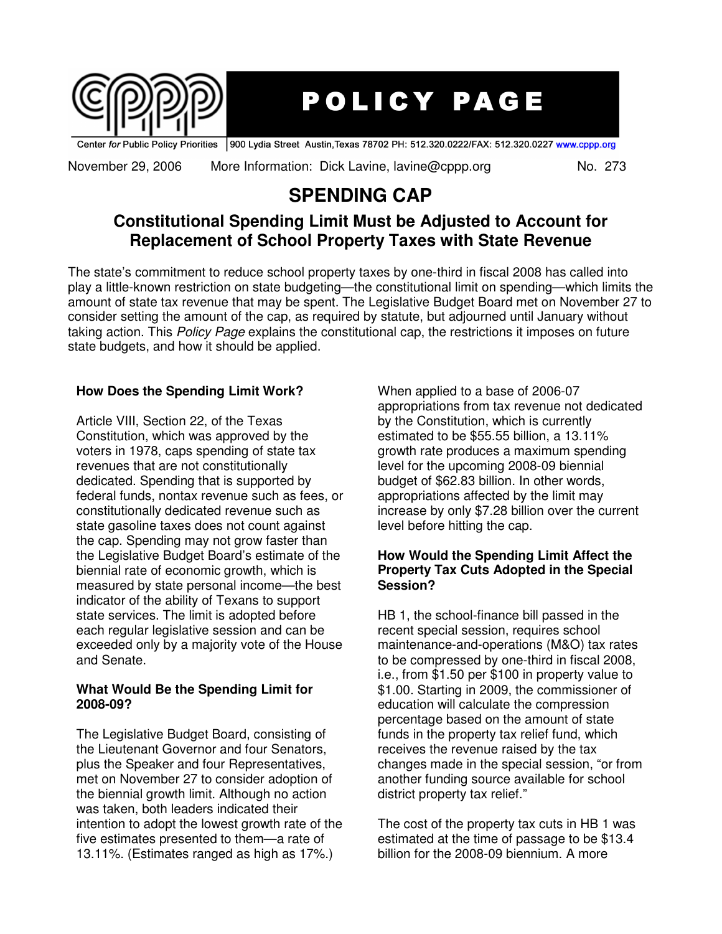

# **POLICY PAGE**

Center for Public Policy Priorities 900 Lydia Street Austin, Texas 78702 PH: 512.320.0222/FAX: 512.320.0227 www.cppp.org

November 29, 2006 More Information: Dick Lavine, lavine@cppp.org No. 273

## **SPENDING CAP**

### **Constitutional Spending Limit Must be Adjusted to Account for Replacement of School Property Taxes with State Revenue**

The state's commitment to reduce school property taxes by one-third in fiscal 2008 has called into play a little-known restriction on state budgeting—the constitutional limit on spending—which limits the amount of state tax revenue that may be spent. The Legislative Budget Board met on November 27 to consider setting the amount of the cap, as required by statute, but adjourned until January without taking action. This *Policy Page* explains the constitutional cap, the restrictions it imposes on future state budgets, and how it should be applied.

#### **How Does the Spending Limit Work?**

Article VIII, Section 22, of the Texas Constitution, which was approved by the voters in 1978, caps spending of state tax revenues that are not constitutionally dedicated. Spending that is supported by federal funds, nontax revenue such as fees, or constitutionally dedicated revenue such as state gasoline taxes does not count against the cap. Spending may not grow faster than the Legislative Budget Board's estimate of the biennial rate of economic growth, which is measured by state personal income—the best indicator of the ability of Texans to support state services. The limit is adopted before each regular legislative session and can be exceeded only by a majority vote of the House and Senate.

#### **What Would Be the Spending Limit for 2008-09?**

The Legislative Budget Board, consisting of the Lieutenant Governor and four Senators, plus the Speaker and four Representatives, met on November 27 to consider adoption of the biennial growth limit. Although no action was taken, both leaders indicated their intention to adopt the lowest growth rate of the five estimates presented to them—a rate of 13.11%. (Estimates ranged as high as 17%.)

When applied to a base of 2006-07 appropriations from tax revenue not dedicated by the Constitution, which is currently estimated to be \$55.55 billion, a 13.11% growth rate produces a maximum spending level for the upcoming 2008-09 biennial budget of \$62.83 billion. In other words, appropriations affected by the limit may increase by only \$7.28 billion over the current level before hitting the cap.

#### **How Would the Spending Limit Affect the Property Tax Cuts Adopted in the Special Session?**

HB 1, the school-finance bill passed in the recent special session, requires school maintenance-and-operations (M&O) tax rates to be compressed by one-third in fiscal 2008, i.e., from \$1.50 per \$100 in property value to \$1.00. Starting in 2009, the commissioner of education will calculate the compression percentage based on the amount of state funds in the property tax relief fund, which receives the revenue raised by the tax changes made in the special session, "or from another funding source available for school district property tax relief."

The cost of the property tax cuts in HB 1 was estimated at the time of passage to be \$13.4 billion for the 2008-09 biennium. A more